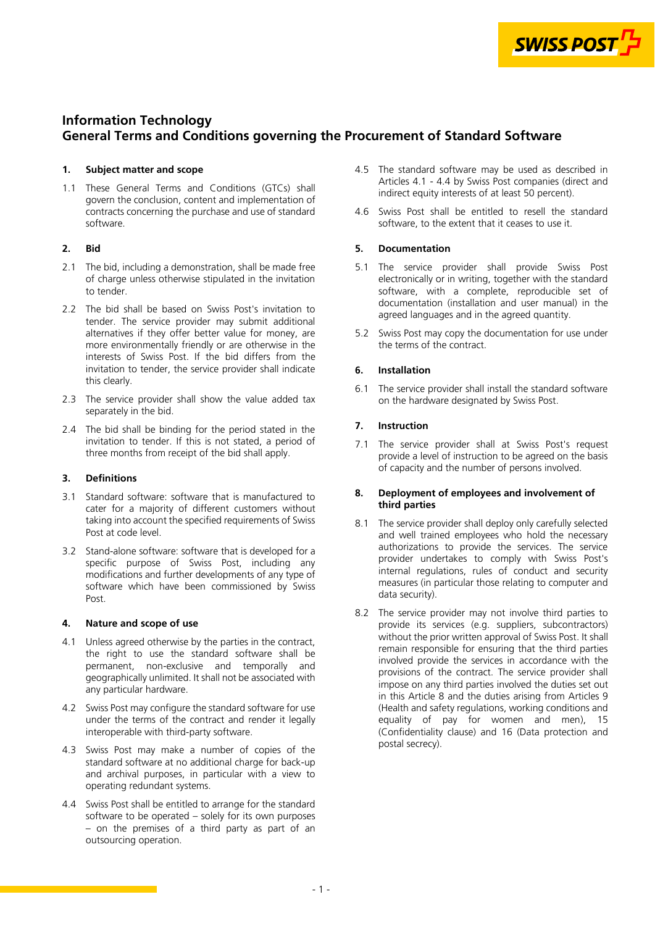

# <span id="page-0-0"></span>**Information Technology General Terms and Conditions governing the Procurement of Standard Software**

#### **1. Subject matter and scope**

1.1 These General Terms and Conditions (GTCs) shall govern the conclusion, content and implementation of contracts concerning the purchase and use of standard software.

# **2. Bid**

- 2.1 The bid, including a demonstration, shall be made free of charge unless otherwise stipulated in the invitation to tender.
- 2.2 The bid shall be based on Swiss Post's invitation to tender. The service provider may submit additional alternatives if they offer better value for money, are more environmentally friendly or are otherwise in the interests of Swiss Post. If the bid differs from the invitation to tender, the service provider shall indicate this clearly.
- 2.3 The service provider shall show the value added tax separately in the bid.
- 2.4 The bid shall be binding for the period stated in the invitation to tender. If this is not stated, a period of three months from receipt of the bid shall apply.

# **3. Definitions**

- 3.1 Standard software: software that is manufactured to cater for a majority of different customers without taking into account the specified requirements of Swiss Post at code level.
- 3.2 Stand-alone software: software that is developed for a specific purpose of Swiss Post, including any modifications and further developments of any type of software which have been commissioned by Swiss Post.

#### **4. Nature and scope of use**

- 4.1 Unless agreed otherwise by the parties in the contract, the right to use the standard software shall be permanent, non-exclusive and temporally and geographically unlimited. It shall not be associated with any particular hardware.
- 4.2 Swiss Post may configure the standard software for use under the terms of the contract and render it legally interoperable with third-party software.
- 4.3 Swiss Post may make a number of copies of the standard software at no additional charge for back-up and archival purposes, in particular with a view to operating redundant systems.
- 4.4 Swiss Post shall be entitled to arrange for the standard software to be operated – solely for its own purposes – on the premises of a third party as part of an outsourcing operation.
- 4.5 The standard software may be used as described in Articles 4.1 - 4.4 by Swiss Post companies (direct and indirect equity interests of at least 50 percent).
- 4.6 Swiss Post shall be entitled to resell the standard software, to the extent that it ceases to use it.

# **5. Documentation**

- 5.1 The service provider shall provide Swiss Post electronically or in writing, together with the standard software, with a complete, reproducible set of documentation (installation and user manual) in the agreed languages and in the agreed quantity.
- 5.2 Swiss Post may copy the documentation for use under the terms of the contract.

# **6. Installation**

6.1 The service provider shall install the standard software on the hardware designated by Swiss Post.

# **7. Instruction**

7.1 The service provider shall at Swiss Post's request provide a level of instruction to be agreed on the basis of capacity and the number of persons involved.

#### **8. Deployment of employees and involvement of third parties**

- 8.1 The service provider shall deploy only carefully selected and well trained employees who hold the necessary authorizations to provide the services. The service provider undertakes to comply with Swiss Post's internal regulations, rules of conduct and security measures (in particular those relating to computer and data security).
- 8.2 The service provider may not involve third parties to provide its services (e.g. suppliers, subcontractors) without the prior written approval of Swiss Post. It shall remain responsible for ensuring that the third parties involved provide the services in accordance with the provisions of the contract. The service provider shall impose on any third parties involved the duties set out [in this Article 8 and the duties arising from Articles 9](#page-1-0)  (Health and safety regulations, working conditions and equality of pay for women and men), [15](#page-2-0) [\(Confidentiality clause\) and 16 \(Data protection and](#page-2-0)  postal secrecy).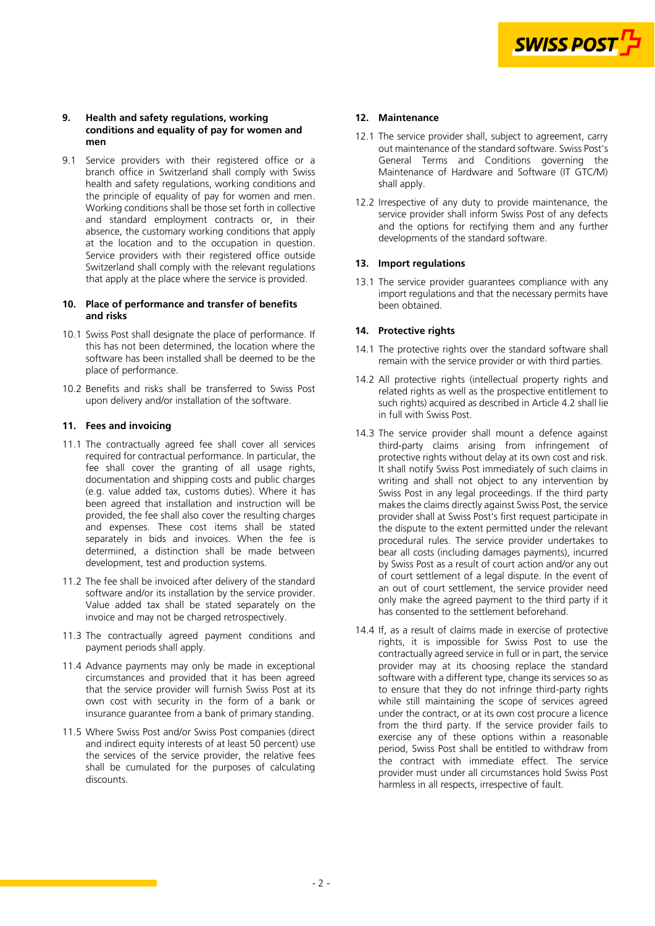

#### <span id="page-1-0"></span>**9. Health and safety regulations, working conditions and equality of pay for women and men**

9.1 Service providers with their registered office or a branch office in Switzerland shall comply with Swiss health and safety regulations, working conditions and the principle of equality of pay for women and men. Working conditions shall be those set forth in collective and standard employment contracts or, in their absence, the customary working conditions that apply at the location and to the occupation in question. Service providers with their registered office outside Switzerland shall comply with the relevant regulations that apply at the place where the service is provided.

# **10. Place of performance and transfer of benefits and risks**

- 10.1 Swiss Post shall designate the place of performance. If this has not been determined, the location where the software has been installed shall be deemed to be the place of performance.
- 10.2 Benefits and risks shall be transferred to Swiss Post upon delivery and/or installation of the software.

# **11. Fees and invoicing**

- 11.1 The contractually agreed fee shall cover all services required for contractual performance. In particular, the fee shall cover the granting of all usage rights, documentation and shipping costs and public charges (e.g. value added tax, customs duties). Where it has been agreed that installation and instruction will be provided, the fee shall also cover the resulting charges and expenses. These cost items shall be stated separately in bids and invoices. When the fee is determined, a distinction shall be made between development, test and production systems.
- 11.2 The fee shall be invoiced after delivery of the standard software and/or its installation by the service provider. Value added tax shall be stated separately on the invoice and may not be charged retrospectively.
- 11.3 The contractually agreed payment conditions and payment periods shall apply.
- 11.4 Advance payments may only be made in exceptional circumstances and provided that it has been agreed that the service provider will furnish Swiss Post at its own cost with security in the form of a bank or insurance guarantee from a bank of primary standing.
- 11.5 Where Swiss Post and/or Swiss Post companies (direct and indirect equity interests of at least 50 percent) use the services of the service provider, the relative fees shall be cumulated for the purposes of calculating discounts.

#### **12. Maintenance**

- 12.1 The service provider shall, subject to agreement, carry out maintenance of the standard software. Swiss Post's General Terms and Conditions governing the Maintenance of Hardware and Software (IT GTC/M) shall apply.
- 12.2 Irrespective of any duty to provide maintenance, the service provider shall inform Swiss Post of any defects and the options for rectifying them and any further developments of the standard software.

# **13. Import regulations**

13.1 The service provider guarantees compliance with any import regulations and that the necessary permits have been obtained.

#### **14. Protective rights**

- 14.1 The protective rights over the standard software shall remain with the service provider or with third parties.
- 14.2 All protective rights (intellectual property rights and related rights as well as the prospective entitlement to such rights) acquired as described in Article [4.2](#page-0-0) shall lie in full with Swiss Post.
- 14.3 The service provider shall mount a defence against third-party claims arising from infringement of protective rights without delay at its own cost and risk. It shall notify Swiss Post immediately of such claims in writing and shall not object to any intervention by Swiss Post in any legal proceedings. If the third party makes the claims directly against Swiss Post, the service provider shall at Swiss Post's first request participate in the dispute to the extent permitted under the relevant procedural rules. The service provider undertakes to bear all costs (including damages payments), incurred by Swiss Post as a result of court action and/or any out of court settlement of a legal dispute. In the event of an out of court settlement, the service provider need only make the agreed payment to the third party if it has consented to the settlement beforehand.
- 14.4 If, as a result of claims made in exercise of protective rights, it is impossible for Swiss Post to use the contractually agreed service in full or in part, the service provider may at its choosing replace the standard software with a different type, change its services so as to ensure that they do not infringe third-party rights while still maintaining the scope of services agreed under the contract, or at its own cost procure a licence from the third party. If the service provider fails to exercise any of these options within a reasonable period, Swiss Post shall be entitled to withdraw from the contract with immediate effect. The service provider must under all circumstances hold Swiss Post harmless in all respects, irrespective of fault.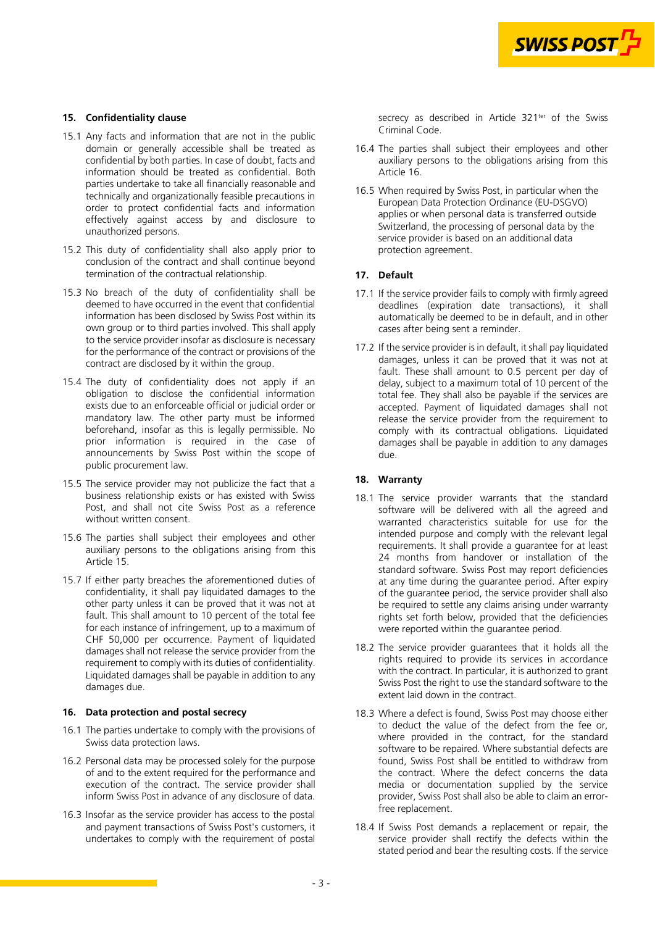

#### <span id="page-2-0"></span>**15. Confidentiality clause**

- 15.1 Any facts and information that are not in the public domain or generally accessible shall be treated as confidential by both parties. In case of doubt, facts and information should be treated as confidential. Both parties undertake to take all financially reasonable and technically and organizationally feasible precautions in order to protect confidential facts and information effectively against access by and disclosure to unauthorized persons.
- 15.2 This duty of confidentiality shall also apply prior to conclusion of the contract and shall continue beyond termination of the contractual relationship.
- 15.3 No breach of the duty of confidentiality shall be deemed to have occurred in the event that confidential information has been disclosed by Swiss Post within its own group or to third parties involved. This shall apply to the service provider insofar as disclosure is necessary for the performance of the contract or provisions of the contract are disclosed by it within the group.
- 15.4 The duty of confidentiality does not apply if an obligation to disclose the confidential information exists due to an enforceable official or judicial order or mandatory law. The other party must be informed beforehand, insofar as this is legally permissible. No prior information is required in the case of announcements by Swiss Post within the scope of public procurement law.
- 15.5 The service provider may not publicize the fact that a business relationship exists or has existed with Swiss Post, and shall not cite Swiss Post as a reference without written consent.
- 15.6 The parties shall subject their employees and other auxiliary persons to the obligations arising from this Article 15.
- 15.7 If either party breaches the aforementioned duties of confidentiality, it shall pay liquidated damages to the other party unless it can be proved that it was not at fault. This shall amount to 10 percent of the total fee for each instance of infringement, up to a maximum of CHF 50,000 per occurrence. Payment of liquidated damages shall not release the service provider from the requirement to comply with its duties of confidentiality. Liquidated damages shall be payable in addition to any damages due.

#### **16. Data protection and postal secrecy**

- 16.1 The parties undertake to comply with the provisions of Swiss data protection laws.
- 16.2 Personal data may be processed solely for the purpose of and to the extent required for the performance and execution of the contract. The service provider shall inform Swiss Post in advance of any disclosure of data.
- 16.3 Insofar as the service provider has access to the postal and payment transactions of Swiss Post's customers, it undertakes to comply with the requirement of postal

secrecy as described in Article 321<sup>ter</sup> of the Swiss Criminal Code.

- 16.4 The parties shall subject their employees and other auxiliary persons to the obligations arising from this Article 16.
- 16.5 When required by Swiss Post, in particular when the European Data Protection Ordinance (EU-DSGVO) applies or when personal data is transferred outside Switzerland, the processing of personal data by the service provider is based on an additional data protection agreement.

#### **17. Default**

- 17.1 If the service provider fails to comply with firmly agreed deadlines (expiration date transactions), it shall automatically be deemed to be in default, and in other cases after being sent a reminder.
- 17.2 If the service provider is in default, it shall pay liquidated damages, unless it can be proved that it was not at fault. These shall amount to 0.5 percent per day of delay, subject to a maximum total of 10 percent of the total fee. They shall also be payable if the services are accepted. Payment of liquidated damages shall not release the service provider from the requirement to comply with its contractual obligations. Liquidated damages shall be payable in addition to any damages due.

#### **18. Warranty**

- 18.1 The service provider warrants that the standard software will be delivered with all the agreed and warranted characteristics suitable for use for the intended purpose and comply with the relevant legal requirements. It shall provide a guarantee for at least 24 months from handover or installation of the standard software. Swiss Post may report deficiencies at any time during the guarantee period. After expiry of the guarantee period, the service provider shall also be required to settle any claims arising under warranty rights set forth below, provided that the deficiencies were reported within the guarantee period.
- 18.2 The service provider guarantees that it holds all the rights required to provide its services in accordance with the contract. In particular, it is authorized to grant Swiss Post the right to use the standard software to the extent laid down in the contract.
- 18.3 Where a defect is found, Swiss Post may choose either to deduct the value of the defect from the fee or, where provided in the contract, for the standard software to be repaired. Where substantial defects are found, Swiss Post shall be entitled to withdraw from the contract. Where the defect concerns the data media or documentation supplied by the service provider, Swiss Post shall also be able to claim an errorfree replacement.
- 18.4 If Swiss Post demands a replacement or repair, the service provider shall rectify the defects within the stated period and bear the resulting costs. If the service